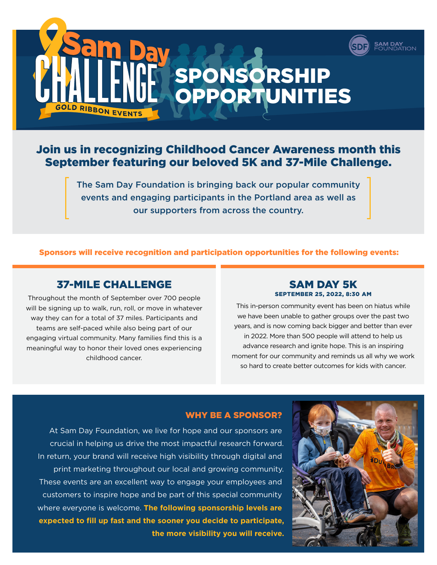

## Join us in recognizing Childhood Cancer Awareness month this September featuring our beloved 5K and 37-Mile Challenge.

The Sam Day Foundation is bringing back our popular community events and engaging participants in the Portland area as well as our supporters from across the country.

#### Sponsors will receive recognition and participation opportunities for the following events:

## 37-MILE CHALLENGE

Throughout the month of September over 700 people will be signing up to walk, run, roll, or move in whatever way they can for a total of 37 miles. Participants and teams are self-paced while also being part of our engaging virtual community. Many families find this is a meaningful way to honor their loved ones experiencing childhood cancer.

#### SAM DAY 5K SEPTEMBER 25, 2022, 8:30 AM

This in-person community event has been on hiatus while we have been unable to gather groups over the past two years, and is now coming back bigger and better than ever in 2022. More than 500 people will attend to help us advance research and ignite hope. This is an inspiring moment for our community and reminds us all why we work so hard to create better outcomes for kids with cancer.

#### WHY BE A SPONSOR?

At Sam Day Foundation, we live for hope and our sponsors are crucial in helping us drive the most impactful research forward. In return, your brand will receive high visibility through digital and print marketing throughout our local and growing community. These events are an excellent way to engage your employees and customers to inspire hope and be part of this special community where everyone is welcome. **The following sponsorship levels are expected to fill up fast and the sooner you decide to participate, the more visibility you will receive.**